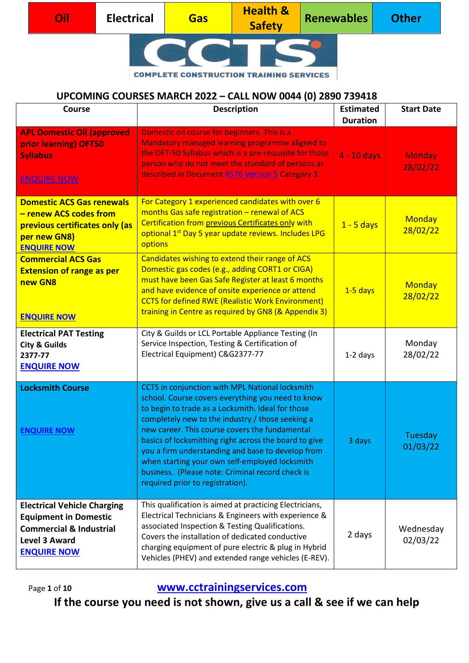|  | Dil | <b>Electrical</b> | <b>Gas</b> | <b>Health &amp;</b><br><b>Safety</b> | <b>Renewables</b> | <b>Other</b> |
|--|-----|-------------------|------------|--------------------------------------|-------------------|--------------|
|  |     |                   |            |                                      |                   |              |

#### **UPCOMING COURSES MARCH 2022 – CALL NOW 0044 (0) 2890 739418**

| <b>Course</b>                                                                                                                                          | <b>Description</b>                                                                                                                                                                                                                                                                                                                                                                                                                                                                                                      | <b>Estimated</b><br><b>Duration</b> | <b>Start Date</b>         |
|--------------------------------------------------------------------------------------------------------------------------------------------------------|-------------------------------------------------------------------------------------------------------------------------------------------------------------------------------------------------------------------------------------------------------------------------------------------------------------------------------------------------------------------------------------------------------------------------------------------------------------------------------------------------------------------------|-------------------------------------|---------------------------|
| <b>APL Domestic Oil (approved</b><br>prior learning) OFT50<br><b>Syllabus</b><br><b>ENQUIRE NOW</b>                                                    | Domestic oil course for beginners. This is a<br>Mandatory managed learning programme aligned to<br>the OFT-50 Syllabus which is a pre-requisite for those<br>person who do not meet the standard of persons as<br>described in Document R576 Version 5 Category 3.                                                                                                                                                                                                                                                      | $4 - 10$ days                       | <b>Monday</b><br>28/02/22 |
| <b>Domestic ACS Gas renewals</b><br>- renew ACS codes from<br>previous certificates only (as<br>per new GN8)<br><b>ENQUIRE NOW</b>                     | For Category 1 experienced candidates with over 6<br>months Gas safe registration - renewal of ACS<br>Certification from previous Certificates only with<br>optional 1 <sup>st</sup> Day 5 year update reviews. Includes LPG<br>options                                                                                                                                                                                                                                                                                 | $1 - 5$ days                        | Monday<br>28/02/22        |
| <b>Commercial ACS Gas</b><br><b>Extension of range as per</b><br>new GN8<br><b>ENQUIRE NOW</b>                                                         | Candidates wishing to extend their range of ACS<br>Domestic gas codes (e.g., adding CORT1 or CIGA)<br>must have been Gas Safe Register at least 6 months<br>and have evidence of onsite experience or attend<br><b>CCTS for defined RWE (Realistic Work Environment)</b><br>training in Centre as required by GN8 (& Appendix 3)                                                                                                                                                                                        | $1-5$ days                          | Monday<br>28/02/22        |
| <b>Electrical PAT Testing</b><br><b>City &amp; Guilds</b><br>2377-77<br><b>ENQUIRE NOW</b>                                                             | City & Guilds or LCL Portable Appliance Testing (In<br>Service Inspection, Testing & Certification of<br>Electrical Equipment) C&G2377-77                                                                                                                                                                                                                                                                                                                                                                               | $1-2$ days                          | Monday<br>28/02/22        |
| <b>Locksmith Course</b><br><b>ENQUIRE NOW</b>                                                                                                          | CCTS in conjunction with MPL National locksmith<br>school. Course covers everything you need to know<br>to begin to trade as a Locksmith. Ideal for those<br>completely new to the industry / those seeking a<br>new career. This course covers the fundamental<br>basics of locksmithing right across the board to give<br>you a firm understanding and base to develop from<br>when starting your own self-employed locksmith<br>business. (Please note: Criminal record check is<br>required prior to registration). | 3 days                              | Tuesday<br>01/03/22       |
| <b>Electrical Vehicle Charging</b><br><b>Equipment in Domestic</b><br><b>Commercial &amp; Industrial</b><br><b>Level 3 Award</b><br><b>ENQUIRE NOW</b> | This qualification is aimed at practicing Electricians,<br>Electrical Technicians & Engineers with experience &<br>associated Inspection & Testing Qualifications.<br>Covers the installation of dedicated conductive<br>charging equipment of pure electric & plug in Hybrid<br>Vehicles (PHEV) and extended range vehicles (E-REV).                                                                                                                                                                                   | 2 days                              | Wednesday<br>02/03/22     |

Page **<sup>1</sup>** of **10 [www.cctrainingservices.com](http://www.cctrainingservices.com/)**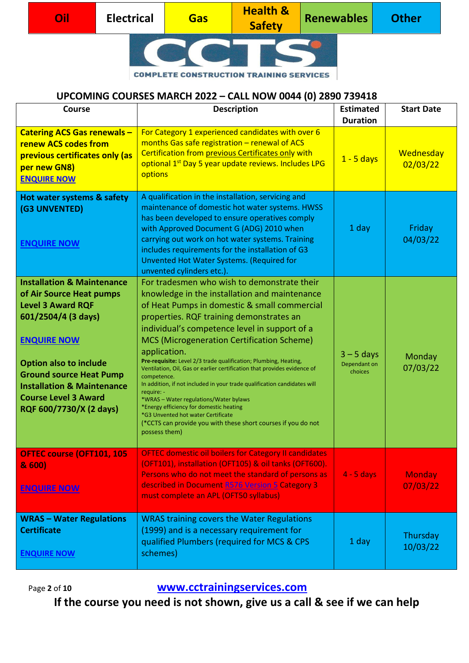| Oil | <b>Electrical</b> | <b>Gas</b> | <b>Health &amp;</b><br><b>Safety</b> | Renewables | <b>Other</b> |
|-----|-------------------|------------|--------------------------------------|------------|--------------|
|     |                   |            |                                      |            |              |

# **UPCOMING COURSES MARCH 2022 – CALL NOW 0044 (0) 2890 739418**

| <b>Course</b>                                                                                                                                                                                                                                                                                                    | <b>Description</b>                                                                                                                                                                                                                                                                                                                                                                                                                                                                                                                                                                                                                                                                                                                                                                   | <b>Estimated</b><br><b>Duration</b>     | <b>Start Date</b>         |
|------------------------------------------------------------------------------------------------------------------------------------------------------------------------------------------------------------------------------------------------------------------------------------------------------------------|--------------------------------------------------------------------------------------------------------------------------------------------------------------------------------------------------------------------------------------------------------------------------------------------------------------------------------------------------------------------------------------------------------------------------------------------------------------------------------------------------------------------------------------------------------------------------------------------------------------------------------------------------------------------------------------------------------------------------------------------------------------------------------------|-----------------------------------------|---------------------------|
| <b>Catering ACS Gas renewals -</b><br><b>renew ACS codes from</b><br>previous certificates only (as<br>per new GN8)<br><b>ENQUIRE NOW</b>                                                                                                                                                                        | For Category 1 experienced candidates with over 6<br>months Gas safe registration - renewal of ACS<br>Certification from previous Certificates only with<br>optional 1 <sup>st</sup> Day 5 year update reviews. Includes LPG<br>options                                                                                                                                                                                                                                                                                                                                                                                                                                                                                                                                              | $1 - 5$ days                            | Wednesday<br>02/03/22     |
| Hot water systems & safety<br>(G3 UNVENTED)<br><b>ENQUIRE NOW</b>                                                                                                                                                                                                                                                | A qualification in the installation, servicing and<br>maintenance of domestic hot water systems. HWSS<br>has been developed to ensure operatives comply<br>with Approved Document G (ADG) 2010 when<br>carrying out work on hot water systems. Training<br>includes requirements for the installation of G3<br>Unvented Hot Water Systems. (Required for<br>unvented cylinders etc.).                                                                                                                                                                                                                                                                                                                                                                                                | 1 day                                   | Friday<br>04/03/22        |
| <b>Installation &amp; Maintenance</b><br>of Air Source Heat pumps<br><b>Level 3 Award RQF</b><br>601/2504/4 (3 days)<br><b>ENQUIRE NOW</b><br><b>Option also to include</b><br><b>Ground source Heat Pump</b><br><b>Installation &amp; Maintenance</b><br><b>Course Level 3 Award</b><br>RQF 600/7730/X (2 days) | For tradesmen who wish to demonstrate their<br>knowledge in the installation and maintenance<br>of Heat Pumps in domestic & small commercial<br>properties. RQF training demonstrates an<br>individual's competence level in support of a<br><b>MCS (Microgeneration Certification Scheme)</b><br>application.<br>Pre-requisite: Level 2/3 trade qualification; Plumbing, Heating,<br>Ventilation, Oil, Gas or earlier certification that provides evidence of<br>competence.<br>In addition, if not included in your trade qualification candidates will<br>require: -<br>*WRAS - Water regulations/Water bylaws<br>*Energy efficiency for domestic heating<br>*G3 Unvented hot water Certificate<br>(*CCTS can provide you with these short courses if you do not<br>possess them) | $3 - 5$ days<br>Dependant on<br>choices | Monday<br>07/03/22        |
| <b>OFTEC course (OFT101, 105</b><br>& 600)<br><b>ENQUIRE NOW</b>                                                                                                                                                                                                                                                 | <b>OFTEC domestic oil boilers for Category II candidates</b><br>(OFT101), installation (OFT105) & oil tanks (OFT600).<br>Persons who do not meet the standard of persons as<br>described in Document R576 Version 5 Category 3<br>must complete an APL (OFT50 syllabus)                                                                                                                                                                                                                                                                                                                                                                                                                                                                                                              | $4 - 5$ days                            | <b>Monday</b><br>07/03/22 |
| <b>WRAS - Water Regulations</b><br><b>Certificate</b><br><b>ENQUIRE NOW</b>                                                                                                                                                                                                                                      | <b>WRAS training covers the Water Regulations</b><br>(1999) and is a necessary requirement for<br>qualified Plumbers (required for MCS & CPS<br>schemes)                                                                                                                                                                                                                                                                                                                                                                                                                                                                                                                                                                                                                             | 1 day                                   | Thursday<br>10/03/22      |

Page **<sup>2</sup>** of **10 [www.cctrainingservices.com](http://www.cctrainingservices.com/)**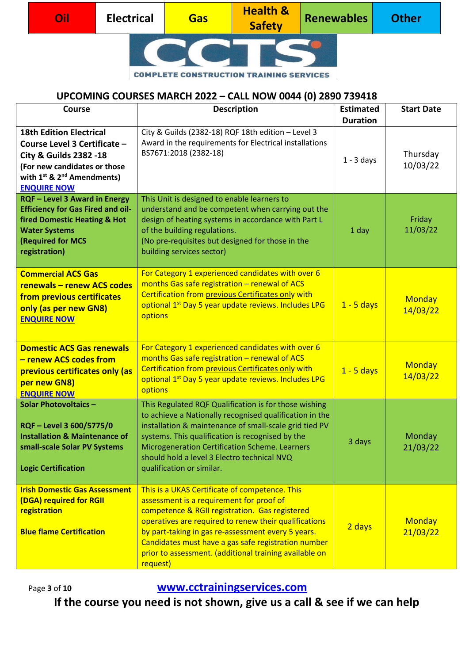| Oil' | <b>Electrical</b> | Gas | <b>Health &amp;</b><br><b>Safety</b> | Renewables | <b>Other</b> |
|------|-------------------|-----|--------------------------------------|------------|--------------|
|      |                   |     |                                      |            |              |

#### **UPCOMING COURSES MARCH 2022 – CALL NOW 0044 (0) 2890 739418**

| <b>Course</b>                                                                                                                                                                             | <b>Description</b>                                                                                                                                                                                                                                                                                                                                                                       | <b>Estimated</b> | <b>Start Date</b>         |
|-------------------------------------------------------------------------------------------------------------------------------------------------------------------------------------------|------------------------------------------------------------------------------------------------------------------------------------------------------------------------------------------------------------------------------------------------------------------------------------------------------------------------------------------------------------------------------------------|------------------|---------------------------|
| <b>18th Edition Electrical</b>                                                                                                                                                            | City & Guilds (2382-18) RQF 18th edition - Level 3                                                                                                                                                                                                                                                                                                                                       | <b>Duration</b>  |                           |
| Course Level 3 Certificate -<br><b>City &amp; Guilds 2382 -18</b><br>(For new candidates or those<br>with $1^{st}$ & $2^{nd}$ Amendments)<br><b>ENQUIRE NOW</b>                           | Award in the requirements for Electrical installations<br>BS7671:2018 (2382-18)                                                                                                                                                                                                                                                                                                          | $1 - 3$ days     | Thursday<br>10/03/22      |
| <b>RQF - Level 3 Award in Energy</b><br><b>Efficiency for Gas Fired and oil-</b><br><b>fired Domestic Heating &amp; Hot</b><br><b>Water Systems</b><br>(Required for MCS<br>registration) | This Unit is designed to enable learners to<br>understand and be competent when carrying out the<br>design of heating systems in accordance with Part L<br>of the building regulations.<br>(No pre-requisites but designed for those in the<br>building services sector)                                                                                                                 | 1 day            | Friday<br>11/03/22        |
| <b>Commercial ACS Gas</b><br>renewals - renew ACS codes<br>from previous certificates<br>only (as per new GN8)<br><b>ENQUIRE NOW</b>                                                      | For Category 1 experienced candidates with over 6<br>months Gas safe registration - renewal of ACS<br>Certification from previous Certificates only with<br>optional 1 <sup>st</sup> Day 5 year update reviews. Includes LPG<br>options                                                                                                                                                  | $1 - 5$ days     | <b>Monday</b><br>14/03/22 |
| <b>Domestic ACS Gas renewals</b><br>- renew ACS codes from<br>previous certificates only (as<br>per new GN8)<br><b>ENQUIRE NOW</b>                                                        | For Category 1 experienced candidates with over 6<br>months Gas safe registration - renewal of ACS<br>Certification from previous Certificates only with<br>optional 1 <sup>st</sup> Day 5 year update reviews. Includes LPG<br>options                                                                                                                                                  | $1 - 5$ days     | Monday<br>14/03/22        |
| <b>Solar Photovoltaics -</b><br>RQF - Level 3 600/5775/0<br><b>Installation &amp; Maintenance of</b><br>small-scale Solar PV Systems<br><b>Logic Certification</b>                        | This Regulated RQF Qualification is for those wishing<br>to achieve a Nationally recognised qualification in the<br>installation & maintenance of small-scale grid tied PV<br>systems. This qualification is recognised by the<br>Microgeneration Certification Scheme. Learners<br>should hold a level 3 Electro technical NVQ<br>qualification or similar.                             | 3 days           | Monday<br>21/03/22        |
| <b>Irish Domestic Gas Assessment</b><br>(DGA) required for RGII<br>registration<br><b>Blue flame Certification</b>                                                                        | This is a UKAS Certificate of competence. This<br>assessment is a requirement for proof of<br>competence & RGII registration. Gas registered<br>operatives are required to renew their qualifications<br>by part-taking in gas re-assessment every 5 years.<br>Candidates must have a gas safe registration number<br>prior to assessment. (additional training available on<br>request) | 2 days           | <b>Monday</b><br>21/03/22 |

Page **<sup>3</sup>** of **10 [www.cctrainingservices.com](http://www.cctrainingservices.com/)**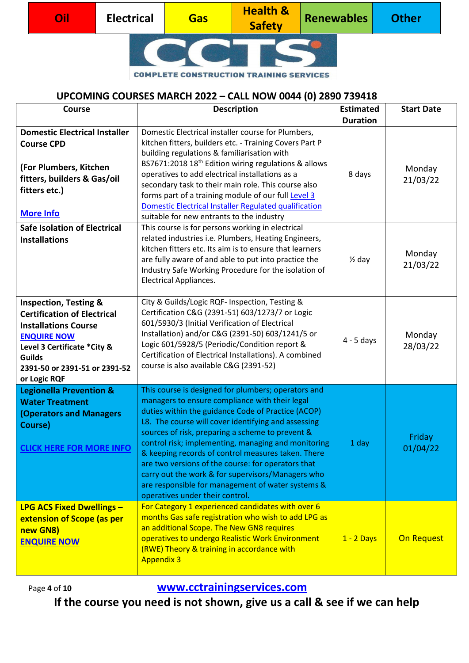| Oil | <b>Electrical</b> | <b>Gas</b> | <b>Health &amp;</b><br><b>Safety</b> | <b>Renewables</b> | <b>Other</b> |
|-----|-------------------|------------|--------------------------------------|-------------------|--------------|
|     |                   |            |                                      |                   |              |

#### **UPCOMING COURSES MARCH 2022 – CALL NOW 0044 (0) 2890 739418**

| Course                                                                                                                                                                                                                       | <b>Description</b>                                                                                                                                                                                                                                                                                                                                                                                                                                                                                                                                                                     | <b>Estimated</b><br><b>Duration</b> | <b>Start Date</b>  |
|------------------------------------------------------------------------------------------------------------------------------------------------------------------------------------------------------------------------------|----------------------------------------------------------------------------------------------------------------------------------------------------------------------------------------------------------------------------------------------------------------------------------------------------------------------------------------------------------------------------------------------------------------------------------------------------------------------------------------------------------------------------------------------------------------------------------------|-------------------------------------|--------------------|
| <b>Domestic Electrical Installer</b><br><b>Course CPD</b><br>(For Plumbers, Kitchen<br>fitters, builders & Gas/oil<br>fitters etc.)<br><b>More Info</b>                                                                      | Domestic Electrical installer course for Plumbers,<br>kitchen fitters, builders etc. - Training Covers Part P<br>building regulations & familiarisation with<br>BS7671:2018 18 <sup>th</sup> Edition wiring regulations & allows<br>operatives to add electrical installations as a<br>secondary task to their main role. This course also<br>forms part of a training module of our full Level 3<br>Domestic Electrical Installer Regulated qualification<br>suitable for new entrants to the industry                                                                                | 8 days                              | Monday<br>21/03/22 |
| <b>Safe Isolation of Electrical</b><br><b>Installations</b>                                                                                                                                                                  | This course is for persons working in electrical<br>related industries i.e. Plumbers, Heating Engineers,<br>kitchen fitters etc. Its aim is to ensure that learners<br>are fully aware of and able to put into practice the<br>Industry Safe Working Procedure for the isolation of<br><b>Electrical Appliances.</b>                                                                                                                                                                                                                                                                   | $\frac{1}{2}$ day                   | Monday<br>21/03/22 |
| <b>Inspection, Testing &amp;</b><br><b>Certification of Electrical</b><br><b>Installations Course</b><br><b>ENQUIRE NOW</b><br>Level 3 Certificate *City &<br><b>Guilds</b><br>2391-50 or 2391-51 or 2391-52<br>or Logic RQF | City & Guilds/Logic RQF- Inspection, Testing &<br>Certification C&G (2391-51) 603/1273/7 or Logic<br>601/5930/3 (Initial Verification of Electrical<br>Installation) and/or C&G (2391-50) 603/1241/5 or<br>Logic 601/5928/5 (Periodic/Condition report &<br>Certification of Electrical Installations). A combined<br>course is also available C&G (2391-52)                                                                                                                                                                                                                           | $4 - 5$ days                        | Monday<br>28/03/22 |
| <b>Legionella Prevention &amp;</b><br><b>Water Treatment</b><br><b>(Operators and Managers</b><br>Course)<br><b>CLICK HERE FOR MORE INFO</b>                                                                                 | This course is designed for plumbers; operators and<br>managers to ensure compliance with their legal<br>duties within the guidance Code of Practice (ACOP)<br>L8. The course will cover identifying and assessing<br>sources of risk, preparing a scheme to prevent &<br>control risk; implementing, managing and monitoring<br>& keeping records of control measures taken. There<br>are two versions of the course: for operators that<br>carry out the work & for supervisors/Managers who<br>are responsible for management of water systems &<br>operatives under their control. | 1 day                               | Friday<br>01/04/22 |
| <b>LPG ACS Fixed Dwellings -</b><br>extension of Scope (as per<br>new GN8)<br><b>ENQUIRE NOW</b>                                                                                                                             | For Category 1 experienced candidates with over 6<br>months Gas safe registration who wish to add LPG as<br>an additional Scope. The New GN8 requires<br>operatives to undergo Realistic Work Environment<br>(RWE) Theory & training in accordance with<br><b>Appendix 3</b>                                                                                                                                                                                                                                                                                                           | $1 - 2$ Days                        | On Request         |

Page **<sup>4</sup>** of **10 [www.cctrainingservices.com](http://www.cctrainingservices.com/)**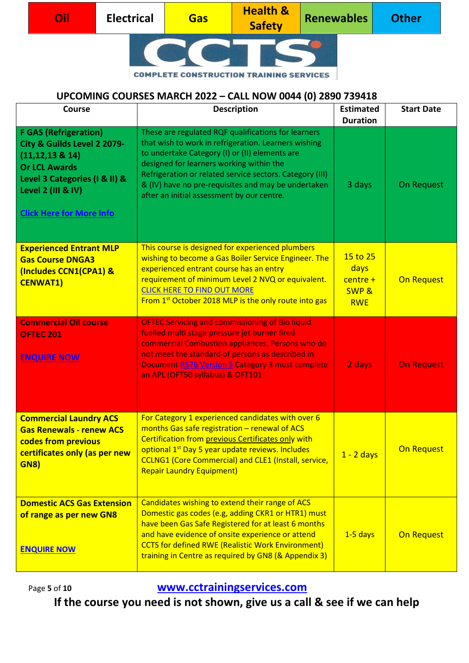| Oil | <b>Electrical</b> | <b>Gas</b> | <b>Health &amp;</b><br><b>Safety</b> | <b>Renewables</b> | <b>Other</b> |
|-----|-------------------|------------|--------------------------------------|-------------------|--------------|
|     |                   |            |                                      |                   |              |

## **UPCOMING COURSES MARCH 2022 – CALL NOW 0044 (0) 2890 739418**

| <b>Course</b>                                                                                                                                                                                         | <b>Description</b>                                                                                                                                                                                                                                                                                                                                                         | <b>Estimated</b><br><b>Duration</b>                              | <b>Start Date</b> |
|-------------------------------------------------------------------------------------------------------------------------------------------------------------------------------------------------------|----------------------------------------------------------------------------------------------------------------------------------------------------------------------------------------------------------------------------------------------------------------------------------------------------------------------------------------------------------------------------|------------------------------------------------------------------|-------------------|
| <b>F GAS (Refrigeration)</b><br>City & Guilds Level 2 2079-<br>$(11, 12, 13 \& 14)$<br><b>Or LCL Awards</b><br>Level 3 Categories (I & II) &<br>Level 2 (III & IV)<br><b>Click Here for More Info</b> | These are regulated RQF qualifications for learners<br>that wish to work in refrigeration. Learners wishing<br>to undertake Category (I) or (II) elements are<br>designed for learners working within the<br>Refrigeration or related service sectors. Category (III)<br>& (IV) have no pre-requisites and may be undertaken<br>after an initial assessment by our centre. | 3 days                                                           | On Request        |
| <b>Experienced Entrant MLP</b><br><b>Gas Course DNGA3</b><br>(Includes CCN1(CPA1) &<br><b>CENWAT1)</b>                                                                                                | This course is designed for experienced plumbers<br>wishing to become a Gas Boiler Service Engineer. The<br>experienced entrant course has an entry<br>requirement of minimum Level 2 NVQ or equivalent.<br><b>CLICK HERE TO FIND OUT MORE</b><br>From 1 <sup>st</sup> October 2018 MLP is the only route into gas                                                         | 15 to 25<br>days<br>$centre +$<br><b>SWP &amp;</b><br><b>RWE</b> | On Request        |
| <b>Commercial Oil course</b><br><b>OFTEC 201</b><br><b>ENQUIRE NOW</b>                                                                                                                                | <b>OFTEC Servicing and commissioning of Bio liquid</b><br>fuelled multi stage pressure jet burner fired<br>commercial Combustion appliances. Persons who do<br>not meet the standard of persons as described in<br><b>Document R576 Version 5 Category 3 must complete</b><br>an APL (OFT50 syllabus) & OFT101                                                             | 2 days                                                           | <b>On Request</b> |
| <b>Commercial Laundry ACS</b><br><b>Gas Renewals - renew ACS</b><br>codes from previous<br>certificates only (as per new<br><b>GN8)</b>                                                               | For Category 1 experienced candidates with over 6<br>months Gas safe registration - renewal of ACS<br>Certification from previous Certificates only with<br>optional 1 <sup>st</sup> Day 5 year update reviews. Includes<br><b>CCLNG1 (Core Commercial) and CLE1 (Install, service,</b><br><b>Repair Laundry Equipment)</b>                                                | $1 - 2$ days                                                     | On Request        |
| <b>Domestic ACS Gas Extension</b><br>of range as per new GN8<br><b>ENQUIRE NOW</b>                                                                                                                    | Candidates wishing to extend their range of ACS<br>Domestic gas codes (e.g, adding CKR1 or HTR1) must<br>have been Gas Safe Registered for at least 6 months<br>and have evidence of onsite experience or attend<br><b>CCTS for defined RWE (Realistic Work Environment)</b><br>training in Centre as required by GN8 (& Appendix 3)                                       | $1-5$ days                                                       | On Request        |

Page **<sup>5</sup>** of **10 [www.cctrainingservices.com](http://www.cctrainingservices.com/)**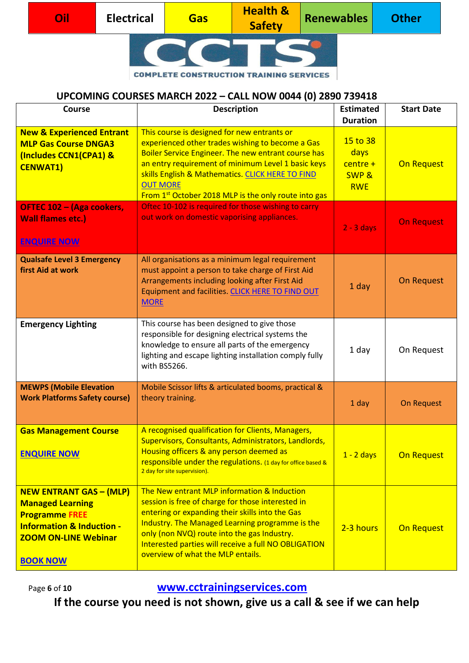| Oil | <b>Electrical</b> | Gas' | <b>Health &amp;</b><br><b>Safety</b> | Renewables | <b>Other</b> |
|-----|-------------------|------|--------------------------------------|------------|--------------|
|     |                   |      |                                      |            |              |

#### **UPCOMING COURSES MARCH 2022 – CALL NOW 0044 (0) 2890 739418**

| Course                                                                                                                                                                       | <b>Description</b>                                                                                                                                                                                                                                                                                                                                      | <b>Estimated</b><br><b>Duration</b>                              | <b>Start Date</b> |
|------------------------------------------------------------------------------------------------------------------------------------------------------------------------------|---------------------------------------------------------------------------------------------------------------------------------------------------------------------------------------------------------------------------------------------------------------------------------------------------------------------------------------------------------|------------------------------------------------------------------|-------------------|
| <b>New &amp; Experienced Entrant</b><br><b>MLP Gas Course DNGA3</b><br>(Includes CCN1(CPA1) &<br><b>CENWAT1)</b>                                                             | This course is designed for new entrants or<br>experienced other trades wishing to become a Gas<br>Boiler Service Engineer. The new entrant course has<br>an entry requirement of minimum Level 1 basic keys<br>skills English & Mathematics. CLICK HERE TO FIND<br><b>OUT MORE</b><br>From 1 <sup>st</sup> October 2018 MLP is the only route into gas | 15 to 38<br>days<br>$centre +$<br><b>SWP &amp;</b><br><b>RWE</b> | On Request        |
| OFTEC 102 - (Aga cookers,<br><b>Wall flames etc.)</b><br><b>ENQUIRE NOW</b>                                                                                                  | Oftec 10-102 is required for those wishing to carry<br>out work on domestic vaporising appliances.                                                                                                                                                                                                                                                      | $2 - 3$ days                                                     | <b>On Request</b> |
| <b>Qualsafe Level 3 Emergency</b><br>first Aid at work                                                                                                                       | All organisations as a minimum legal requirement<br>must appoint a person to take charge of First Aid<br>Arrangements including looking after First Aid<br>Equipment and facilities. CLICK HERE TO FIND OUT<br><b>MORE</b>                                                                                                                              | 1 day                                                            | On Request        |
| <b>Emergency Lighting</b>                                                                                                                                                    | This course has been designed to give those<br>responsible for designing electrical systems the<br>knowledge to ensure all parts of the emergency<br>lighting and escape lighting installation comply fully<br>with BS5266.                                                                                                                             | 1 day                                                            | On Request        |
| <b>MEWPS (Mobile Elevation</b><br><b>Work Platforms Safety course)</b>                                                                                                       | Mobile Scissor lifts & articulated booms, practical &<br>theory training.                                                                                                                                                                                                                                                                               | 1 day                                                            | <b>On Request</b> |
| <b>Gas Management Course</b><br><b>ENQUIRE NOW</b>                                                                                                                           | A recognised qualification for Clients, Managers,<br>Supervisors, Consultants, Administrators, Landlords,<br>Housing officers & any person deemed as<br>responsible under the regulations. (1 day for office based &<br>2 day for site supervision).                                                                                                    | $1 - 2$ days                                                     | On Request        |
| <b>NEW ENTRANT GAS - (MLP)</b><br><b>Managed Learning</b><br><b>Programme FREE</b><br><b>Information &amp; Induction -</b><br><b>ZOOM ON-LINE Webinar</b><br><b>BOOK NOW</b> | The New entrant MLP information & Induction<br>session is free of charge for those interested in<br>entering or expanding their skills into the Gas<br>Industry. The Managed Learning programme is the<br>only (non NVQ) route into the gas Industry.<br>Interested parties will receive a full NO OBLIGATION<br>overview of what the MLP entails.      | 2-3 hours                                                        | On Request        |

Page **<sup>6</sup>** of **10 [www.cctrainingservices.com](http://www.cctrainingservices.com/)**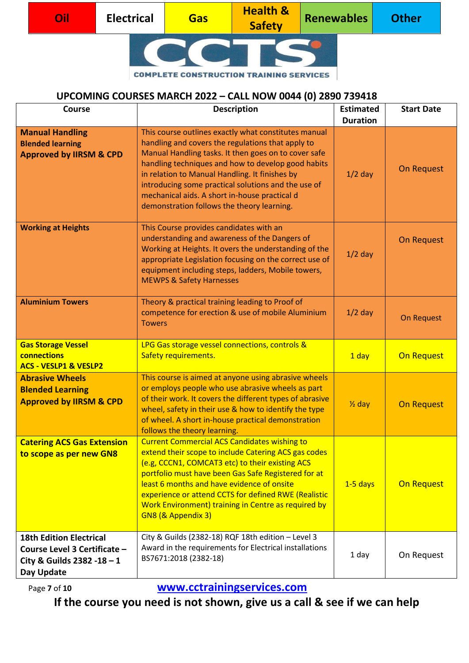| Oil | <b>Electrical</b> | <b>Gas</b> | <b>Health &amp;</b><br><b>Safety</b> | <b>Renewables</b> | <b>Other</b> |
|-----|-------------------|------------|--------------------------------------|-------------------|--------------|
|     |                   |            |                                      |                   |              |

#### **UPCOMING COURSES MARCH 2022 – CALL NOW 0044 (0) 2890 739418**

| Course                                                                                                     | <b>Description</b>                                                                                                                                                                                                                                                                                                                                                                                                              | <b>Estimated</b><br><b>Duration</b> | <b>Start Date</b> |
|------------------------------------------------------------------------------------------------------------|---------------------------------------------------------------------------------------------------------------------------------------------------------------------------------------------------------------------------------------------------------------------------------------------------------------------------------------------------------------------------------------------------------------------------------|-------------------------------------|-------------------|
| <b>Manual Handling</b><br><b>Blended learning</b><br><b>Approved by IIRSM &amp; CPD</b>                    | This course outlines exactly what constitutes manual<br>handling and covers the regulations that apply to<br>Manual Handling tasks. It then goes on to cover safe<br>handling techniques and how to develop good habits<br>in relation to Manual Handling. It finishes by<br>introducing some practical solutions and the use of<br>mechanical aids. A short in-house practical d<br>demonstration follows the theory learning. | $1/2$ day                           | On Request        |
| <b>Working at Heights</b>                                                                                  | This Course provides candidates with an<br>understanding and awareness of the Dangers of<br>Working at Heights. It overs the understanding of the<br>appropriate Legislation focusing on the correct use of<br>equipment including steps, ladders, Mobile towers,<br><b>MEWPS &amp; Safety Harnesses</b>                                                                                                                        | $1/2$ day                           | On Request        |
| <b>Aluminium Towers</b>                                                                                    | Theory & practical training leading to Proof of<br>competence for erection & use of mobile Aluminium<br><b>Towers</b>                                                                                                                                                                                                                                                                                                           | $1/2$ day                           | On Request        |
| <b>Gas Storage Vessel</b><br>connections<br><b>ACS - VESLP1 &amp; VESLP2</b>                               | LPG Gas storage vessel connections, controls &<br>Safety requirements.                                                                                                                                                                                                                                                                                                                                                          | 1 day                               | On Request        |
| <b>Abrasive Wheels</b><br><b>Blended Learning</b><br><b>Approved by IIRSM &amp; CPD</b>                    | This course is aimed at anyone using abrasive wheels<br>or employs people who use abrasive wheels as part<br>of their work. It covers the different types of abrasive<br>wheel, safety in their use & how to identify the type<br>of wheel. A short in-house practical demonstration<br>follows the theory learning.                                                                                                            | $\frac{1}{2}$ day                   | <b>On Request</b> |
| <b>Catering ACS Gas Extension</b><br>to scope as per new GN8                                               | <b>Current Commercial ACS Candidates wishing to</b><br>extend their scope to include Catering ACS gas codes<br>(e.g, CCCN1, COMCAT3 etc) to their existing ACS<br>portfolio must have been Gas Safe Registered for at<br>least 6 months and have evidence of onsite<br>experience or attend CCTS for defined RWE (Realistic<br>Work Environment) training in Centre as required by<br>GN8 (& Appendix 3)                        | $1-5$ days                          | On Request        |
| <b>18th Edition Electrical</b><br>Course Level 3 Certificate -<br>City & Guilds 2382 -18 - 1<br>Day Update | City & Guilds (2382-18) RQF 18th edition - Level 3<br>Award in the requirements for Electrical installations<br>BS7671:2018 (2382-18)                                                                                                                                                                                                                                                                                           | 1 day                               | On Request        |

Page **<sup>7</sup>** of **10 [www.cctrainingservices.com](http://www.cctrainingservices.com/)**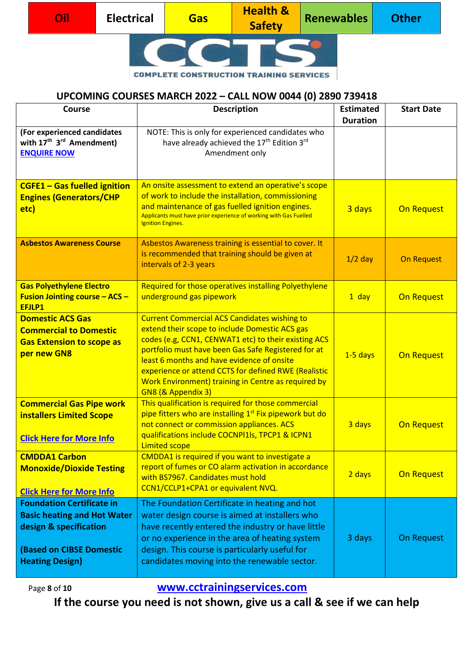| Oil | <b>Electrical</b> | <b>Gas</b> | <b>Health &amp;</b><br><b>Safety</b> | <b>Renewables</b> | <b>Other</b> |
|-----|-------------------|------------|--------------------------------------|-------------------|--------------|
|     |                   |            |                                      |                   |              |

#### **UPCOMING COURSES MARCH 2022 – CALL NOW 0044 (0) 2890 739418**

| <b>Course</b>                                                                                                                                                 | <b>Description</b>                                                                                                                                                                                                                                                                                                                                                                                      | <b>Estimated</b><br><b>Duration</b> | <b>Start Date</b> |
|---------------------------------------------------------------------------------------------------------------------------------------------------------------|---------------------------------------------------------------------------------------------------------------------------------------------------------------------------------------------------------------------------------------------------------------------------------------------------------------------------------------------------------------------------------------------------------|-------------------------------------|-------------------|
| (For experienced candidates<br>with 17 <sup>th</sup> 3 <sup>rd</sup> Amendment)<br><b>ENQUIRE NOW</b>                                                         | NOTE: This is only for experienced candidates who<br>have already achieved the 17 <sup>th</sup> Edition 3rd<br>Amendment only                                                                                                                                                                                                                                                                           |                                     |                   |
| <b>CGFE1 - Gas fuelled ignition</b><br><b>Engines (Generators/CHP</b><br>etc)                                                                                 | An onsite assessment to extend an operative's scope<br>of work to include the installation, commissioning<br>and maintenance of gas fuelled ignition engines.<br>Applicants must have prior experience of working with Gas Fuelled<br><b>Ignition Engines.</b>                                                                                                                                          | 3 days                              | On Request        |
| <b>Asbestos Awareness Course</b>                                                                                                                              | Asbestos Awareness training is essential to cover. It<br>is recommended that training should be given at<br>intervals of 2-3 years                                                                                                                                                                                                                                                                      | $1/2$ day                           | <b>On Request</b> |
| <b>Gas Polyethylene Electro</b><br><b>Fusion Jointing course - ACS -</b><br>EFJLP1                                                                            | Required for those operatives installing Polyethylene<br>underground gas pipework                                                                                                                                                                                                                                                                                                                       | $1$ day                             | <b>On Request</b> |
| <b>Domestic ACS Gas</b><br><b>Commercial to Domestic</b><br><b>Gas Extension to scope as</b><br>per new GN8                                                   | <b>Current Commercial ACS Candidates wishing to</b><br>extend their scope to include Domestic ACS gas<br>codes (e.g, CCN1, CENWAT1 etc) to their existing ACS<br>portfolio must have been Gas Safe Registered for at<br>least 6 months and have evidence of onsite<br>experience or attend CCTS for defined RWE (Realistic<br>Work Environment) training in Centre as required by<br>GN8 (& Appendix 3) | $1-5$ days                          | <b>On Request</b> |
| <b>Commercial Gas Pipe work</b><br><b>installers Limited Scope</b><br><b>Click Here for More Info</b>                                                         | This qualification is required for those commercial<br>pipe fitters who are installing 1 <sup>st</sup> Fix pipework but do<br>not connect or commission appliances. ACS<br>qualifications include COCNPI1Is, TPCP1 & ICPN1<br><b>Limited scope</b>                                                                                                                                                      | 3 days                              | On Request        |
| <b>CMDDA1 Carbon</b><br><b>Monoxide/Dioxide Testing</b><br><b>Click Here for More Info</b>                                                                    | CMDDA1 is required if you want to investigate a<br>report of fumes or CO alarm activation in accordance<br>with BS7967. Candidates must hold<br>CCN1/CCLP1+CPA1 or equivalent NVQ.                                                                                                                                                                                                                      | 2 days                              | On Request        |
| <b>Foundation Certificate in</b><br><b>Basic heating and Hot Water</b><br>design & specification<br><b>(Based on CIBSE Domestic</b><br><b>Heating Design)</b> | The Foundation Certificate in heating and hot<br>water design course is aimed at installers who<br>have recently entered the industry or have little<br>or no experience in the area of heating system<br>design. This course is particularly useful for<br>candidates moving into the renewable sector.                                                                                                | 3 days                              | On Request        |

Page **<sup>8</sup>** of **10 [www.cctrainingservices.com](http://www.cctrainingservices.com/)**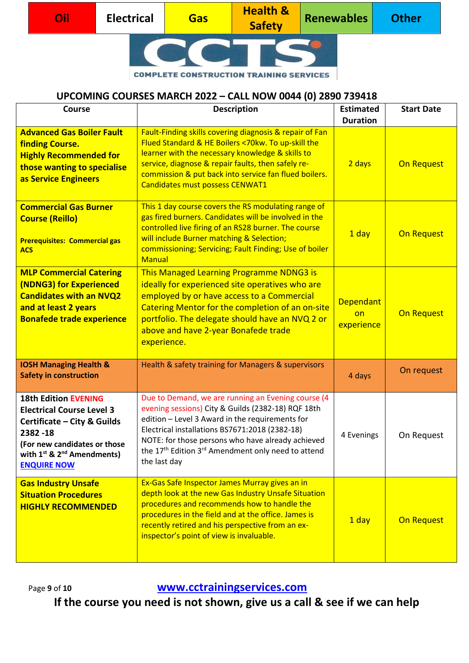| Oil | <b>Electrical</b> | <b>Gas</b> | <b>Health &amp;</b><br><b>Safety</b> | <b>Renewables</b> | <b>Other</b> |
|-----|-------------------|------------|--------------------------------------|-------------------|--------------|
|     |                   |            |                                      |                   |              |

#### **UPCOMING COURSES MARCH 2022 – CALL NOW 0044 (0) 2890 739418**

| <b>Course</b>                                                                                                                                                                                                         | <b>Description</b>                                                                                                                                                                                                                                                                                                                                               | <b>Estimated</b><br><b>Duration</b>  | <b>Start Date</b> |
|-----------------------------------------------------------------------------------------------------------------------------------------------------------------------------------------------------------------------|------------------------------------------------------------------------------------------------------------------------------------------------------------------------------------------------------------------------------------------------------------------------------------------------------------------------------------------------------------------|--------------------------------------|-------------------|
| <b>Advanced Gas Boiler Fault</b><br>finding Course.<br><b>Highly Recommended for</b><br>those wanting to specialise<br>as Service Engineers                                                                           | Fault-Finding skills covering diagnosis & repair of Fan<br>Flued Standard & HE Boilers <70kw. To up-skill the<br>learner with the necessary knowledge & skills to<br>service, diagnose & repair faults, then safely re-<br>commission & put back into service fan flued boilers.<br>Candidates must possess CENWAT1                                              | 2 days                               | On Request        |
| <b>Commercial Gas Burner</b><br><b>Course (Reillo)</b><br><b>Prerequisites: Commercial gas</b><br><b>ACS</b>                                                                                                          | This 1 day course covers the RS modulating range of<br>gas fired burners. Candidates will be involved in the<br>controlled live firing of an RS28 burner. The course<br>will include Burner matching & Selection;<br>commissioning; Servicing; Fault Finding; Use of boiler<br><b>Manual</b>                                                                     | 1 day                                | On Request        |
| <b>MLP Commercial Catering</b><br>(NDNG3) for Experienced<br><b>Candidates with an NVQ2</b><br>and at least 2 years<br><b>Bonafede trade experience</b>                                                               | This Managed Learning Programme NDNG3 is<br>ideally for experienced site operatives who are<br>employed by or have access to a Commercial<br>Catering Mentor for the completion of an on-site<br>portfolio. The delegate should have an NVQ 2 or<br>above and have 2-year Bonafede trade<br>experience.                                                          | <b>Dependant</b><br>on<br>experience | On Request        |
| <b>IOSH Managing Health &amp;</b><br><b>Safety in construction</b>                                                                                                                                                    | Health & safety training for Managers & supervisors                                                                                                                                                                                                                                                                                                              | 4 days                               | On request        |
| <b>18th Edition EVENING</b><br><b>Electrical Course Level 3</b><br>Certificate - City & Guilds<br>2382-18<br>(For new candidates or those<br>with 1 <sup>st</sup> & 2 <sup>nd</sup> Amendments)<br><b>ENQUIRE NOW</b> | Due to Demand, we are running an Evening course (4<br>evening sessions) City & Guilds (2382-18) RQF 18th<br>edition - Level 3 Award in the requirements for<br>Electrical installations BS7671:2018 (2382-18)<br>NOTE: for those persons who have already achieved<br>the 17 <sup>th</sup> Edition 3 <sup>rd</sup> Amendment only need to attend<br>the last day | 4 Evenings                           | On Request        |
| <b>Gas Industry Unsafe</b><br><b>Situation Procedures</b><br><b>HIGHLY RECOMMENDED</b>                                                                                                                                | Ex-Gas Safe Inspector James Murray gives an in<br>depth look at the new Gas Industry Unsafe Situation<br>procedures and recommends how to handle the<br>procedures in the field and at the office. James is<br>recently retired and his perspective from an ex-<br>inspector's point of view is invaluable.                                                      | 1 day                                | On Request        |

Page **<sup>9</sup>** of **10 [www.cctrainingservices.com](http://www.cctrainingservices.com/)**